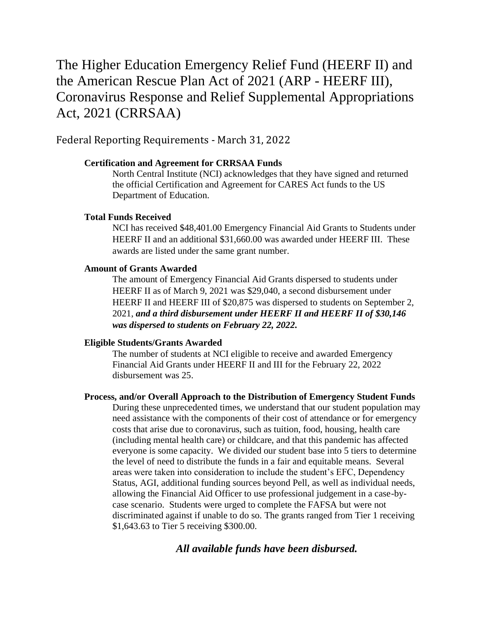# The Higher Education Emergency Relief Fund (HEERF II) and the American Rescue Plan Act of 2021 (ARP - HEERF III), Coronavirus Response and Relief Supplemental Appropriations Act, 2021 (CRRSAA)

Federal Reporting Requirements - March 31, 2022

#### **Certification and Agreement for CRRSAA Funds**

North Central Institute (NCI) acknowledges that they have signed and returned the official Certification and Agreement for CARES Act funds to the US Department of Education.

#### **Total Funds Received**

NCI has received \$48,401.00 Emergency Financial Aid Grants to Students under HEERF II and an additional \$31,660.00 was awarded under HEERF III. These awards are listed under the same grant number.

#### **Amount of Grants Awarded**

The amount of Emergency Financial Aid Grants dispersed to students under HEERF II as of March 9, 2021 was \$29,040, a second disbursement under HEERF II and HEERF III of \$20,875 was dispersed to students on September 2, 2021, *and a third disbursement under HEERF II and HEERF II of \$30,146 was dispersed to students on February 22, 2022.*

#### **Eligible Students/Grants Awarded**

The number of students at NCI eligible to receive and awarded Emergency Financial Aid Grants under HEERF II and III for the February 22, 2022 disbursement was 25.

### **Process, and/or Overall Approach to the Distribution of Emergency Student Funds**

During these unprecedented times, we understand that our student population may need assistance with the components of their cost of attendance or for emergency costs that arise due to coronavirus, such as tuition, food, housing, health care (including mental health care) or childcare, and that this pandemic has affected everyone is some capacity. We divided our student base into 5 tiers to determine the level of need to distribute the funds in a fair and equitable means. Several areas were taken into consideration to include the student's EFC, Dependency Status, AGI, additional funding sources beyond Pell, as well as individual needs, allowing the Financial Aid Officer to use professional judgement in a case-bycase scenario. Students were urged to complete the FAFSA but were not discriminated against if unable to do so. The grants ranged from Tier 1 receiving \$1,643.63 to Tier 5 receiving \$300.00.

## *All available funds have been disbursed.*